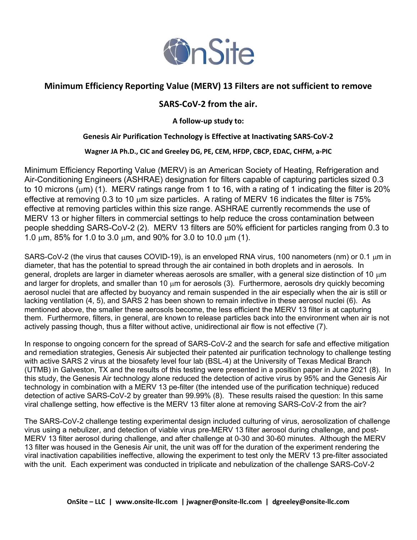

# Minimum Efficiency Reporting Value (MERV) 13 Filters are not sufficient to remove

## SARS-CoV-2 from the air.

A follow-up study to:

### Genesis Air Purification Technology is Effective at Inactivating SARS-CoV-2

Wagner JA Ph.D., CIC and Greeley DG, PE, CEM, HFDP, CBCP, EDAC, CHFM, a-PIC

Minimum Efficiency Reporting Value (MERV) is an American Society of Heating, Refrigeration and Air-Conditioning Engineers (ASHRAE) designation for filters capable of capturing particles sized 0.3 to 10 microns ( $\mu$ m) (1). MERV ratings range from 1 to 16, with a rating of 1 indicating the filter is 20% effective at removing 0.3 to 10  $\mu$ m size particles. A rating of MERV 16 indicates the filter is 75% effective at removing particles within this size range. ASHRAE currently recommends the use of MERV 13 or higher filters in commercial settings to help reduce the cross contamination between people shedding SARS-CoV-2 (2). MERV 13 filters are 50% efficient for particles ranging from 0.3 to 1.0 um, 85% for 1.0 to 3.0 um, and 90% for 3.0 to 10.0 um (1).

SARS-CoV-2 (the virus that causes COVID-19), is an enveloped RNA virus, 100 nanometers (nm) or 0.1  $\mu$ m in diameter, that has the potential to spread through the air contained in both droplets and in aerosols. In general, droplets are larger in diameter whereas aerosols are smaller, with a general size distinction of 10  $\mu$ m and larger for droplets, and smaller than 10  $\mu$ m for aerosols (3). Furthermore, aerosols dry quickly becoming aerosol nuclei that are affected by buoyancy and remain suspended in the air especially when the air is still or lacking ventilation (4, 5), and SARS 2 has been shown to remain infective in these aerosol nuclei (6). As mentioned above, the smaller these aerosols become, the less efficient the MERV 13 filter is at capturing them. Furthermore, filters, in general, are known to release particles back into the environment when air is not actively passing though, thus a filter without active, unidirectional air flow is not effective (7).

In response to ongoing concern for the spread of SARS-CoV-2 and the search for safe and effective mitigation and remediation strategies, Genesis Air subjected their patented air purification technology to challenge testing with active SARS 2 virus at the biosafety level four lab (BSL-4) at the University of Texas Medical Branch (UTMB) in Galveston, TX and the results of this testing were presented in a position paper in June 2021 (8). In this study, the Genesis Air technology alone reduced the detection of active virus by 95% and the Genesis Air technology in combination with a MERV 13 pe-filter (the intended use of the purification technique) reduced detection of active SARS-CoV-2 by greater than 99.99% (8). These results raised the question: In this same viral challenge setting, how effective is the MERV 13 filter alone at removing SARS-CoV-2 from the air?

The SARS-CoV-2 challenge testing experimental design included culturing of virus, aerosolization of challenge virus using a nebulizer, and detection of viable virus pre-MERV 13 filter aerosol during challenge, and post-MERV 13 filter aerosol during challenge, and after challenge at 0-30 and 30-60 minutes. Although the MERV 13 filter was housed in the Genesis Air unit, the unit was off for the duration of the experiment rendering the viral inactivation capabilities ineffective, allowing the experiment to test only the MERV 13 pre-filter associated with the unit. Each experiment was conducted in triplicate and nebulization of the challenge SARS-CoV-2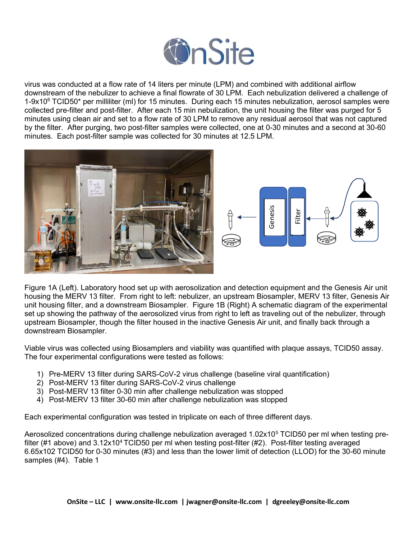

virus was conducted at a flow rate of 14 liters per minute (LPM) and combined with additional airflow downstream of the nebulizer to achieve a final flowrate of 30 LPM. Each nebulization delivered a challenge of 1-9x10<sup>6</sup> TCID50\* per milliliter (ml) for 15 minutes. During each 15 minutes nebulization, aerosol samples were collected pre-filter and post-filter. After each 15 min nebulization, the unit housing the filter was purged for 5 minutes using clean air and set to a flow rate of 30 LPM to remove any residual aerosol that was not captured by the filter. After purging, two post-filter samples were collected, one at 0-30 minutes and a second at 30-60 minutes. Each post-filter sample was collected for 30 minutes at 12.5 LPM.





Figure 1A (Left). Laboratory hood set up with aerosolization and detection equipment and the Genesis Air unit housing the MERV 13 filter. From right to left: nebulizer, an upstream Biosampler, MERV 13 filter, Genesis Air unit housing filter, and a downstream Biosampler. Figure 1B (Right) A schematic diagram of the experimental set up showing the pathway of the aerosolized virus from right to left as traveling out of the nebulizer, through upstream Biosampler, though the filter housed in the inactive Genesis Air unit, and finally back through a downstream Biosampler. Solar United Mathematic Configuration was tested in triplication and detection equipment and the Genesis Air<br>
Figure 1A (Left). Laboratory hood set up with aerosolization and detection equipment and the Genesis Air<br>
Thousi

Viable virus was collected using Biosamplers and viability was quantified with plaque assays, TCID50 assay. The four experimental configurations were tested as follows:

- 1) Pre-MERV 13 filter during SARS-CoV-2 virus challenge (baseline viral quantification)
- 2) Post-MERV 13 filter during SARS-CoV-2 virus challenge
- 3) Post-MERV 13 filter 0-30 min after challenge nebulization was stopped
- 4) Post-MERV 13 filter 30-60 min after challenge nebulization was stopped

Each experimental configuration was tested in triplicate on each of three different days.

Aerosolized concentrations during challenge nebulization averaged 1.02x10<sup>5</sup> TCID50 per ml when testing prefilter (#1 above) and  $3.12x10^4$  TCID50 per ml when testing post-filter (#2). Post-filter testing averaged 6.65x102 TCID50 for 0-30 minutes (#3) and less than the lower limit of detection (LLOD) for the 30-60 minute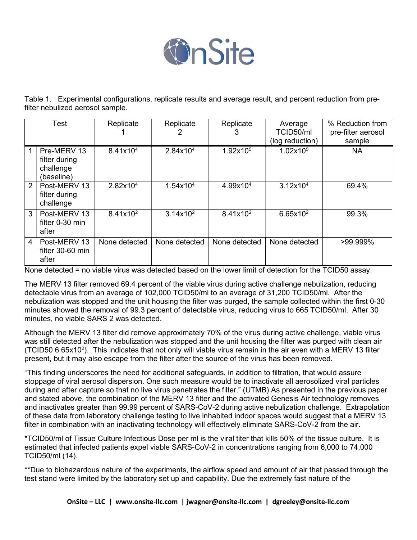

Table 1. Experimental configurations, replicate results and average result, and percent reduction from prefilter nebulized aerosol sample.

| <b>Test</b> |                                                         | Replicate            | Replicate            | Replicate<br>3       | Average<br>TCID50/ml<br>(log reduction) | % Reduction from<br>pre-filter aerosol<br>sample |
|-------------|---------------------------------------------------------|----------------------|----------------------|----------------------|-----------------------------------------|--------------------------------------------------|
|             | Pre-MERV 13<br>filter during<br>challenge<br>(baseline) | 8.41x10 <sup>4</sup> | $2.84 \times 10^{4}$ | 1.92x10 <sup>5</sup> | 1.02x10 <sup>5</sup>                    | <b>NA</b>                                        |
| 2           | Post-MERV 13<br>filter during<br>challenge              | $2.82 \times 10^{4}$ | $1.54 \times 10^{4}$ | 4.99x10 <sup>4</sup> | 3.12x10 <sup>4</sup>                    | 69.4%                                            |
| 3           | Post-MERV 13<br>filter 0-30 min<br>after                | $8.41x10^2$          | $3.14 \times 10^{2}$ | $8.41x10^2$          | $6.65x10^2$                             | 99.3%                                            |
| 4           | Post-MERV 13<br>filter 30-60 min<br>after               | None detected        | None detected        | None detected        | None detected                           | >99.999%                                         |

None detected = no viable virus was detected based on the lower limit of detection for the TCID50 assay.

The MERV 13 filter removed 69.4 percent of the viable virus during active challenge nebulization, reducing detectable virus from an average of 102,000 TCID50/ml to an average of 31,200 TCID50/ml. After the nebulization was stopped and the unit housing the filter was purged, the sample collected within the first 0-30 minutes showed the removal of 99.3 percent of detectable virus, reducing virus to 665 TCID50/ml. After 30 minutes, no viable SARS 2 was detected.

Although the MERV 13 filter did remove approximately 70% of the virus during active challenge, viable virus was still detected after the nebulization was stopped and the unit housing the filter was purged with clean air (TCID50 6.65x10<sup>2</sup>). This indicates that not only will viable virus remain in the air even with a MERV 13 filter present, but it may also escape from the filter after the source of the virus has been removed.

"This finding underscores the need for additional safeguards, in addition to filtration, that would assure stoppage of viral aerosol dispersion. One such measure would be to inactivate all aerosolized viral particles during and after capture so that no live virus penetrates the filter." (UTMB) As presented in the previous paper and stated above, the combination of the MERV 13 filter and the activated Genesis Air technology removes and inactivates greater than 99.99 percent of SARS-CoV-2 during active nebulization challenge. Extrapolation of these data from laboratory challenge testing to live inhabited indoor spaces would suggest that a MERV 13 filter in combination with an inactivating technology will effectively eliminate SARS-CoV-2 from the air.

\*TCID50/ml of Tissue Culture Infectious Dose per ml is the viral titer that kills 50% of the tissue culture. It is estimated that infected patients expel viable SARS-CoV-2 in concentrations ranging from 6,000 to 74,000 TCID50/ml (14).

\*\*Due to biohazardous nature of the experiments, the airflow speed and amount of air that passed through the test stand were limited by the laboratory set up and capability. Due the extremely fast nature of the